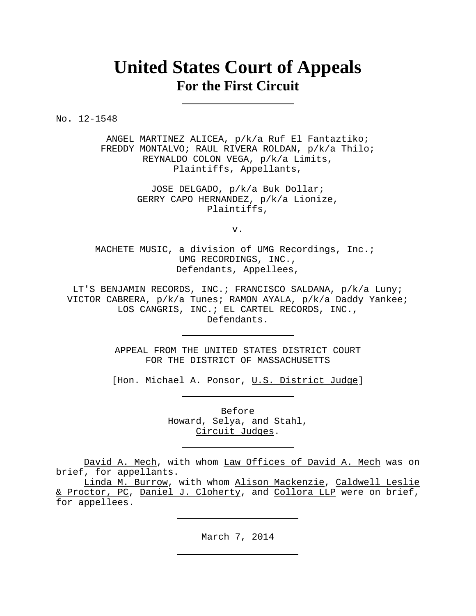# **United States Court of Appeals For the First Circuit**

No. 12-1548

ANGEL MARTINEZ ALICEA, p/k/a Ruf El Fantaztiko; FREDDY MONTALVO; RAUL RIVERA ROLDAN, p/k/a Thilo; REYNALDO COLON VEGA, p/k/a Limits, Plaintiffs, Appellants,

> JOSE DELGADO, p/k/a Buk Dollar; GERRY CAPO HERNANDEZ, p/k/a Lionize, Plaintiffs,

> > v.

MACHETE MUSIC, a division of UMG Recordings, Inc.; UMG RECORDINGS, INC., Defendants, Appellees,

LT'S BENJAMIN RECORDS, INC.; FRANCISCO SALDANA, p/k/a Luny; VICTOR CABRERA, p/k/a Tunes; RAMON AYALA, p/k/a Daddy Yankee; LOS CANGRIS, INC.; EL CARTEL RECORDS, INC., Defendants.

> APPEAL FROM THE UNITED STATES DISTRICT COURT FOR THE DISTRICT OF MASSACHUSETTS

[Hon. Michael A. Ponsor, U.S. District Judge]

Before Howard, Selya, and Stahl, Circuit Judges.

David A. Mech, with whom Law Offices of David A. Mech was on brief, for appellants.

Linda M. Burrow, with whom Alison Mackenzie, Caldwell Leslie & Proctor, PC, Daniel J. Cloherty, and Collora LLP were on brief, for appellees.

March 7, 2014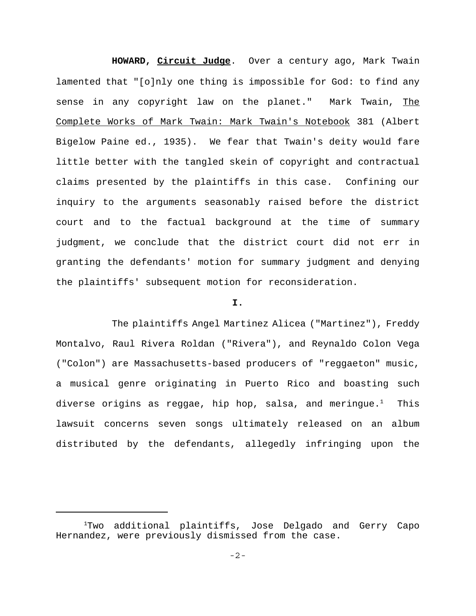**HOWARD, Circuit Judge**. Over a century ago, Mark Twain lamented that "[o]nly one thing is impossible for God: to find any sense in any copyright law on the planet." Mark Twain, The Complete Works of Mark Twain: Mark Twain's Notebook 381 (Albert Bigelow Paine ed., 1935). We fear that Twain's deity would fare little better with the tangled skein of copyright and contractual claims presented by the plaintiffs in this case. Confining our inquiry to the arguments seasonably raised before the district court and to the factual background at the time of summary judgment, we conclude that the district court did not err in granting the defendants' motion for summary judgment and denying the plaintiffs' subsequent motion for reconsideration.

## **I.**

The plaintiffs Angel Martinez Alicea ("Martinez"), Freddy Montalvo, Raul Rivera Roldan ("Rivera"), and Reynaldo Colon Vega ("Colon") are Massachusetts-based producers of "reggaeton" music, a musical genre originating in Puerto Rico and boasting such diverse origins as reggae, hip hop, salsa, and meringue. $^{\rm l}$  - This lawsuit concerns seven songs ultimately released on an album distributed by the defendants, allegedly infringing upon the

<sup>&</sup>lt;sup>1</sup>Two additional plaintiffs, Jose Delgado and Gerry Capo Hernandez, were previously dismissed from the case.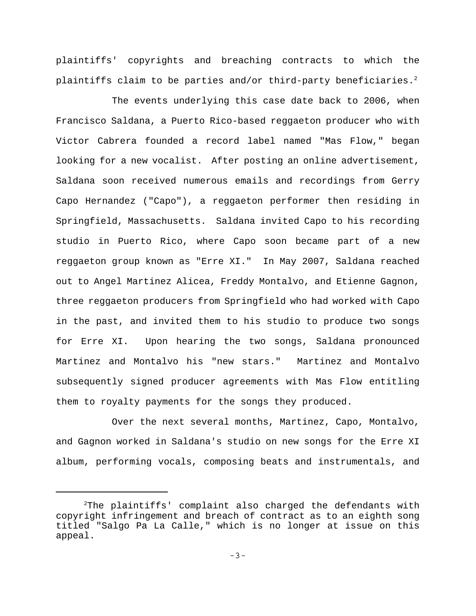plaintiffs' copyrights and breaching contracts to which the plaintiffs claim to be parties and/or third-party beneficiaries.<sup>2</sup>

The events underlying this case date back to 2006, when Francisco Saldana, a Puerto Rico-based reggaeton producer who with Victor Cabrera founded a record label named "Mas Flow," began looking for a new vocalist. After posting an online advertisement, Saldana soon received numerous emails and recordings from Gerry Capo Hernandez ("Capo"), a reggaeton performer then residing in Springfield, Massachusetts. Saldana invited Capo to his recording studio in Puerto Rico, where Capo soon became part of a new reggaeton group known as "Erre XI." In May 2007, Saldana reached out to Angel Martinez Alicea, Freddy Montalvo, and Etienne Gagnon, three reggaeton producers from Springfield who had worked with Capo in the past, and invited them to his studio to produce two songs for Erre XI. Upon hearing the two songs, Saldana pronounced Martinez and Montalvo his "new stars." Martinez and Montalvo subsequently signed producer agreements with Mas Flow entitling them to royalty payments for the songs they produced.

Over the next several months, Martinez, Capo, Montalvo, and Gagnon worked in Saldana's studio on new songs for the Erre XI album, performing vocals, composing beats and instrumentals, and

 $^{2}$ The plaintiffs' complaint also charged the defendants with copyright infringement and breach of contract as to an eighth song titled "Salgo Pa La Calle," which is no longer at issue on this appeal.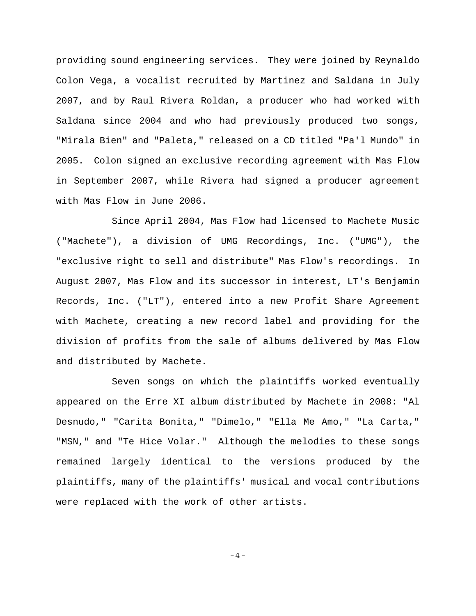providing sound engineering services. They were joined by Reynaldo Colon Vega, a vocalist recruited by Martinez and Saldana in July 2007, and by Raul Rivera Roldan, a producer who had worked with Saldana since 2004 and who had previously produced two songs, "Mirala Bien" and "Paleta," released on a CD titled "Pa'l Mundo" in 2005. Colon signed an exclusive recording agreement with Mas Flow in September 2007, while Rivera had signed a producer agreement with Mas Flow in June 2006.

Since April 2004, Mas Flow had licensed to Machete Music ("Machete"), a division of UMG Recordings, Inc. ("UMG"), the "exclusive right to sell and distribute" Mas Flow's recordings. In August 2007, Mas Flow and its successor in interest, LT's Benjamin Records, Inc. ("LT"), entered into a new Profit Share Agreement with Machete, creating a new record label and providing for the division of profits from the sale of albums delivered by Mas Flow and distributed by Machete.

Seven songs on which the plaintiffs worked eventually appeared on the Erre XI album distributed by Machete in 2008: "Al Desnudo," "Carita Bonita," "Dimelo," "Ella Me Amo," "La Carta," "MSN," and "Te Hice Volar." Although the melodies to these songs remained largely identical to the versions produced by the plaintiffs, many of the plaintiffs' musical and vocal contributions were replaced with the work of other artists.

-4-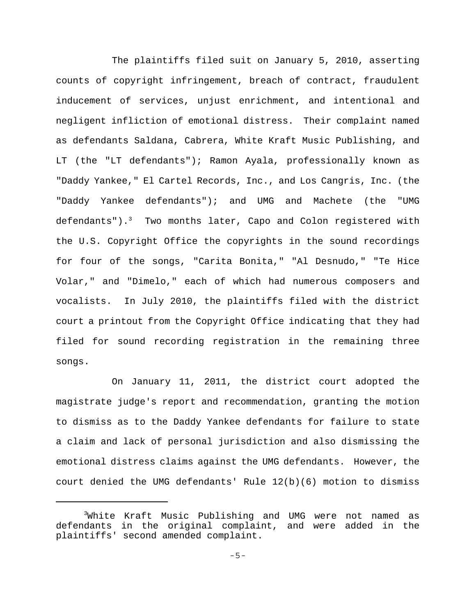The plaintiffs filed suit on January 5, 2010, asserting counts of copyright infringement, breach of contract, fraudulent inducement of services, unjust enrichment, and intentional and negligent infliction of emotional distress. Their complaint named as defendants Saldana, Cabrera, White Kraft Music Publishing, and LT (the "LT defendants"); Ramon Ayala, professionally known as "Daddy Yankee," El Cartel Records, Inc., and Los Cangris, Inc. (the "Daddy Yankee defendants"); and UMG and Machete (the "UMG defendants"). $^3$  Two months later, Capo and Colon registered with the U.S. Copyright Office the copyrights in the sound recordings for four of the songs, "Carita Bonita," "Al Desnudo," "Te Hice Volar," and "Dimelo," each of which had numerous composers and vocalists. In July 2010, the plaintiffs filed with the district court a printout from the Copyright Office indicating that they had filed for sound recording registration in the remaining three songs.

On January 11, 2011, the district court adopted the magistrate judge's report and recommendation, granting the motion to dismiss as to the Daddy Yankee defendants for failure to state a claim and lack of personal jurisdiction and also dismissing the emotional distress claims against the UMG defendants. However, the court denied the UMG defendants' Rule 12(b)(6) motion to dismiss

<sup>3</sup> White Kraft Music Publishing and UMG were not named as defendants in the original complaint, and were added in the plaintiffs' second amended complaint.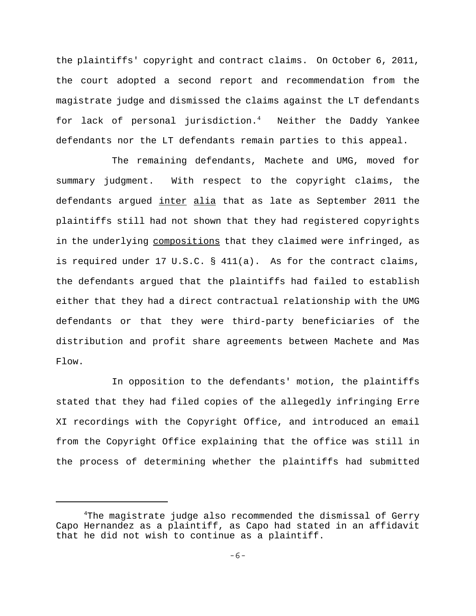the plaintiffs' copyright and contract claims. On October 6, 2011, the court adopted a second report and recommendation from the magistrate judge and dismissed the claims against the LT defendants for lack of personal jurisdiction.4 Neither the Daddy Yankee defendants nor the LT defendants remain parties to this appeal.

The remaining defendants, Machete and UMG, moved for summary judgment. With respect to the copyright claims, the defendants argued inter alia that as late as September 2011 the plaintiffs still had not shown that they had registered copyrights in the underlying compositions that they claimed were infringed, as is required under 17 U.S.C. § 411(a). As for the contract claims, the defendants argued that the plaintiffs had failed to establish either that they had a direct contractual relationship with the UMG defendants or that they were third-party beneficiaries of the distribution and profit share agreements between Machete and Mas Flow.

In opposition to the defendants' motion, the plaintiffs stated that they had filed copies of the allegedly infringing Erre XI recordings with the Copyright Office, and introduced an email from the Copyright Office explaining that the office was still in the process of determining whether the plaintiffs had submitted

<sup>4</sup> The magistrate judge also recommended the dismissal of Gerry Capo Hernandez as a plaintiff, as Capo had stated in an affidavit that he did not wish to continue as a plaintiff.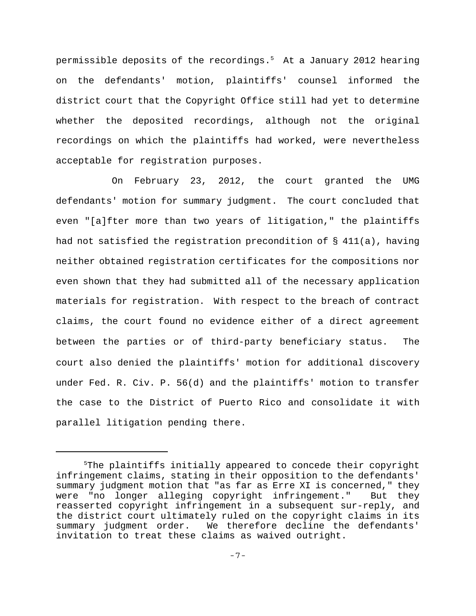permissible deposits of the recordings.<sup>5</sup> At a January 2012 hearing on the defendants' motion, plaintiffs' counsel informed the district court that the Copyright Office still had yet to determine whether the deposited recordings, although not the original recordings on which the plaintiffs had worked, were nevertheless acceptable for registration purposes.

On February 23, 2012, the court granted the UMG defendants' motion for summary judgment. The court concluded that even "[a]fter more than two years of litigation," the plaintiffs had not satisfied the registration precondition of  $\S$  411(a), having neither obtained registration certificates for the compositions nor even shown that they had submitted all of the necessary application materials for registration. With respect to the breach of contract claims, the court found no evidence either of a direct agreement between the parties or of third-party beneficiary status.The court also denied the plaintiffs' motion for additional discovery under Fed. R. Civ. P. 56(d) and the plaintiffs' motion to transfer the case to the District of Puerto Rico and consolidate it with parallel litigation pending there.

<sup>5</sup>The plaintiffs initially appeared to concede their copyright infringement claims, stating in their opposition to the defendants' summary judgment motion that "as far as Erre XI is concerned," they were "no longer alleging copyright infringement." But they reasserted copyright infringement in a subsequent sur-reply, and the district court ultimately ruled on the copyright claims in its summary judgment order. We therefore decline the defendants' invitation to treat these claims as waived outright.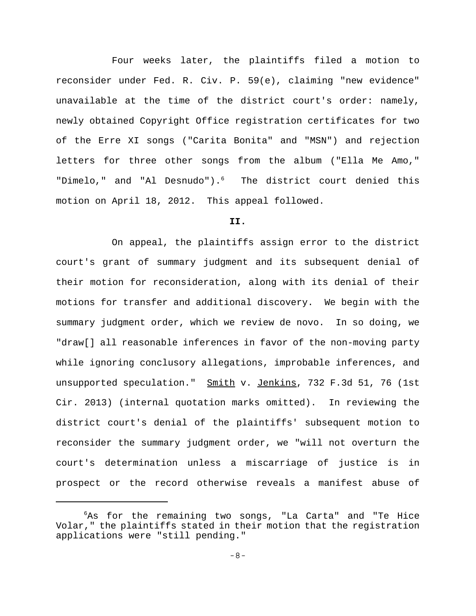Four weeks later, the plaintiffs filed a motion to reconsider under Fed. R. Civ. P. 59(e), claiming "new evidence" unavailable at the time of the district court's order: namely, newly obtained Copyright Office registration certificates for two of the Erre XI songs ("Carita Bonita" and "MSN") and rejection letters for three other songs from the album ("Ella Me Amo," "Dimelo," and "Al Desnudo").<sup>6</sup> The district court denied this motion on April 18, 2012. This appeal followed.

## **II.**

On appeal, the plaintiffs assign error to the district court's grant of summary judgment and its subsequent denial of their motion for reconsideration, along with its denial of their motions for transfer and additional discovery. We begin with the summary judgment order, which we review de novo. In so doing, we "draw[] all reasonable inferences in favor of the non-moving party while ignoring conclusory allegations, improbable inferences, and unsupported speculation." Smith v. Jenkins, 732 F.3d 51, 76 (1st Cir. 2013) (internal quotation marks omitted). In reviewing the district court's denial of the plaintiffs' subsequent motion to reconsider the summary judgment order, we "will not overturn the court's determination unless a miscarriage of justice is in prospect or the record otherwise reveals a manifest abuse of

<sup>6</sup>As for the remaining two songs, "La Carta" and "Te Hice Volar," the plaintiffs stated in their motion that the registration applications were "still pending."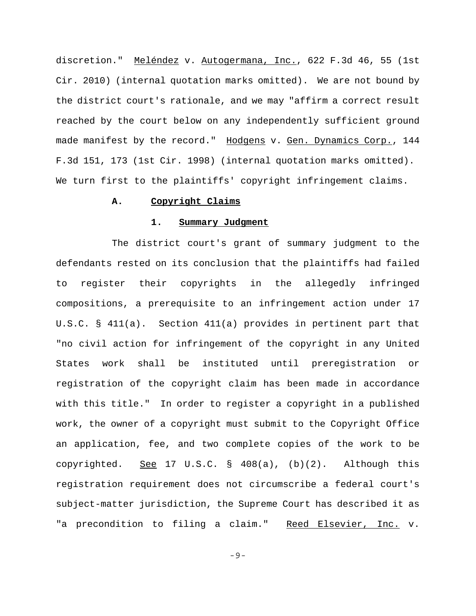discretion." Meléndez v. Autogermana, Inc., 622 F.3d 46, 55 (1st Cir. 2010) (internal quotation marks omitted). We are not bound by the district court's rationale, and we may "affirm a correct result reached by the court below on any independently sufficient ground made manifest by the record." Hodgens v. Gen. Dynamics Corp., 144 F.3d 151, 173 (1st Cir. 1998) (internal quotation marks omitted). We turn first to the plaintiffs' copyright infringement claims.

### **A. Copyright Claims**

## **1. Summary Judgment**

The district court's grant of summary judgment to the defendants rested on its conclusion that the plaintiffs had failed to register their copyrights in the allegedly infringed compositions, a prerequisite to an infringement action under 17 U.S.C. § 411(a). Section 411(a) provides in pertinent part that "no civil action for infringement of the copyright in any United States work shall be instituted until preregistration or registration of the copyright claim has been made in accordance with this title." In order to register a copyright in a published work, the owner of a copyright must submit to the Copyright Office an application, fee, and two complete copies of the work to be copyrighted. See 17 U.S.C. § 408(a),  $(b)(2)$ . Although this registration requirement does not circumscribe a federal court's subject-matter jurisdiction, the Supreme Court has described it as "a precondition to filing a claim." Reed Elsevier, Inc. v.

-9-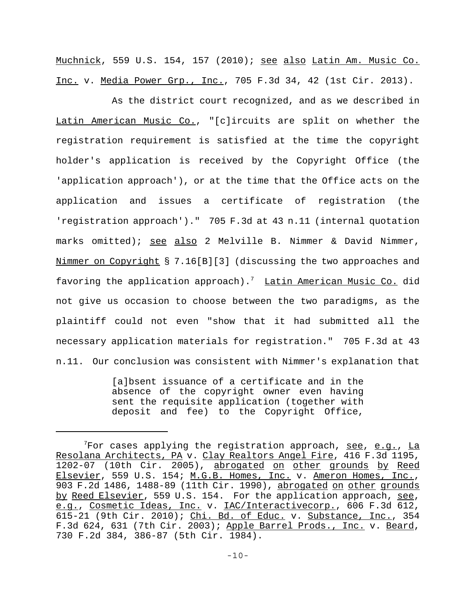Muchnick, 559 U.S. 154, 157 (2010); see also Latin Am. Music Co. Inc. v. Media Power Grp., Inc., 705 F.3d 34, 42 (1st Cir. 2013).

As the district court recognized, and as we described in Latin American Music Co., "[c]ircuits are split on whether the registration requirement is satisfied at the time the copyright holder's application is received by the Copyright Office (the 'application approach'), or at the time that the Office acts on the application and issues a certificate of registration (the 'registration approach')." 705 F.3d at 43 n.11 (internal quotation marks omitted); see also 2 Melville B. Nimmer & David Nimmer, Nimmer on Copyright § 7.16[B][3] (discussing the two approaches and favoring the application approach).<sup>7</sup> Latin American Music Co. did not give us occasion to choose between the two paradigms, as the plaintiff could not even "show that it had submitted all the necessary application materials for registration." 705 F.3d at 43 n.11. Our conclusion was consistent with Nimmer's explanation that

> [a]bsent issuance of a certificate and in the absence of the copyright owner even having sent the requisite application (together with deposit and fee) to the Copyright Office,

 $7$ For cases applying the registration approach,  $\frac{\text{see}}{\text{see}}$ ,  $\frac{\text{La}}{\text{A}}$ Resolana Architects, PA v. Clay Realtors Angel Fire, 416 F.3d 1195, 1202-07 (10th Cir. 2005), abrogated on other grounds by Reed Elsevier, 559 U.S. 154; M.G.B. Homes, Inc. v. Ameron Homes, Inc., 903 F.2d 1486, 1488-89 (11th Cir. 1990), abrogated on other grounds by Reed Elsevier, 559 U.S. 154. For the application approach, see, e.g., Cosmetic Ideas, Inc. v. IAC/Interactivecorp., 606 F.3d 612, 615-21 (9th Cir. 2010); Chi. Bd. of Educ. v. Substance, Inc., 354 F.3d 624, 631 (7th Cir. 2003); Apple Barrel Prods., Inc. v. Beard, 730 F.2d 384, 386-87 (5th Cir. 1984).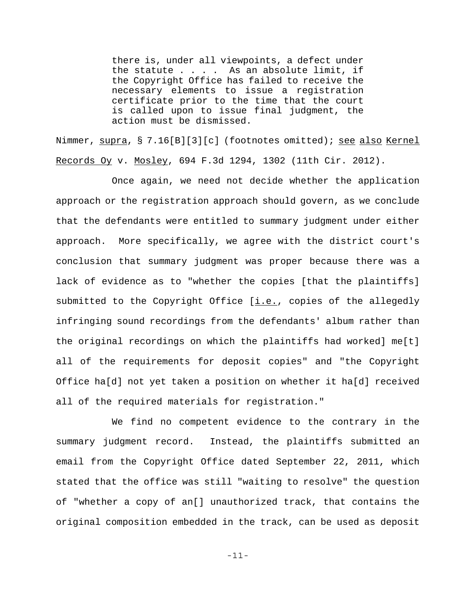there is, under all viewpoints, a defect under the statute  $\ldots$  . As an absolute limit, if the Copyright Office has failed to receive the necessary elements to issue a registration certificate prior to the time that the court is called upon to issue final judgment, the action must be dismissed.

Nimmer, supra, § 7.16[B][3][c] (footnotes omitted); see also Kernel Records Oy v. Mosley, 694 F.3d 1294, 1302 (11th Cir. 2012).

Once again, we need not decide whether the application approach or the registration approach should govern, as we conclude that the defendants were entitled to summary judgment under either approach. More specifically, we agree with the district court's conclusion that summary judgment was proper because there was a lack of evidence as to "whether the copies [that the plaintiffs] submitted to the Copyright Office  $[i.e.,]$  copies of the allegedly infringing sound recordings from the defendants' album rather than the original recordings on which the plaintiffs had worked] me[t] all of the requirements for deposit copies" and "the Copyright Office ha[d] not yet taken a position on whether it ha[d] received all of the required materials for registration."

We find no competent evidence to the contrary in the summary judgment record. Instead, the plaintiffs submitted an email from the Copyright Office dated September 22, 2011, which stated that the office was still "waiting to resolve" the question of "whether a copy of an[] unauthorized track, that contains the original composition embedded in the track, can be used as deposit

-11-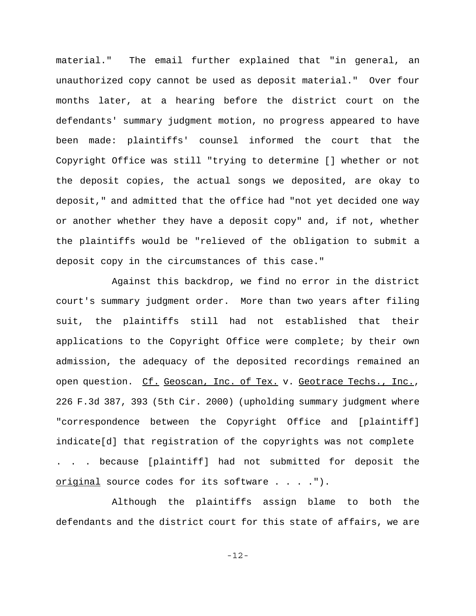material." The email further explained that "in general, an unauthorized copy cannot be used as deposit material." Over four months later, at a hearing before the district court on the defendants' summary judgment motion, no progress appeared to have been made: plaintiffs' counsel informed the court that the Copyright Office was still "trying to determine [] whether or not the deposit copies, the actual songs we deposited, are okay to deposit," and admitted that the office had "not yet decided one way or another whether they have a deposit copy" and, if not, whether the plaintiffs would be "relieved of the obligation to submit a deposit copy in the circumstances of this case."

Against this backdrop, we find no error in the district court's summary judgment order. More than two years after filing suit, the plaintiffs still had not established that their applications to the Copyright Office were complete; by their own admission, the adequacy of the deposited recordings remained an open question. Cf. Geoscan, Inc. of Tex. v. Geotrace Techs., Inc., 226 F.3d 387, 393 (5th Cir. 2000) (upholding summary judgment where "correspondence between the Copyright Office and [plaintiff] indicate[d] that registration of the copyrights was not complete . . . because [plaintiff] had not submitted for deposit the original source codes for its software . . . .").

Although the plaintiffs assign blame to both the defendants and the district court for this state of affairs, we are

-12-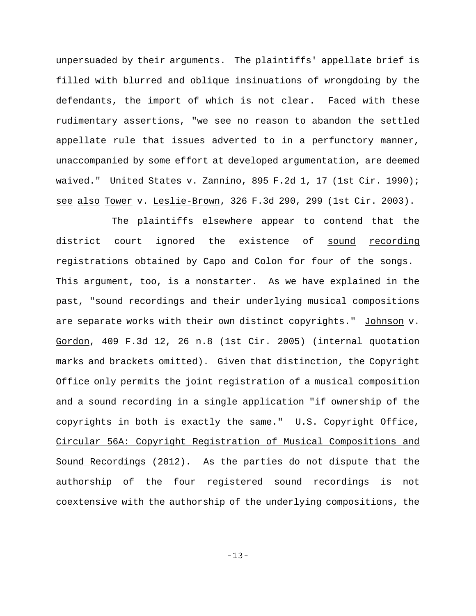unpersuaded by their arguments. The plaintiffs' appellate brief is filled with blurred and oblique insinuations of wrongdoing by the defendants, the import of which is not clear. Faced with these rudimentary assertions, "we see no reason to abandon the settled appellate rule that issues adverted to in a perfunctory manner, unaccompanied by some effort at developed argumentation, are deemed waived." United States v. Zannino, 895 F.2d 1, 17 (1st Cir. 1990); see also Tower v. Leslie-Brown, 326 F.3d 290, 299 (1st Cir. 2003).

The plaintiffs elsewhere appear to contend that the district court ignored the existence of sound recording registrations obtained by Capo and Colon for four of the songs. This argument, too, is a nonstarter. As we have explained in the past, "sound recordings and their underlying musical compositions are separate works with their own distinct copyrights." Johnson v. Gordon, 409 F.3d 12, 26 n.8 (1st Cir. 2005) (internal quotation marks and brackets omitted). Given that distinction, the Copyright Office only permits the joint registration of a musical composition and a sound recording in a single application "if ownership of the copyrights in both is exactly the same." U.S. Copyright Office, Circular 56A: Copyright Registration of Musical Compositions and Sound Recordings (2012). As the parties do not dispute that the authorship of the four registered sound recordings is not coextensive with the authorship of the underlying compositions, the

-13-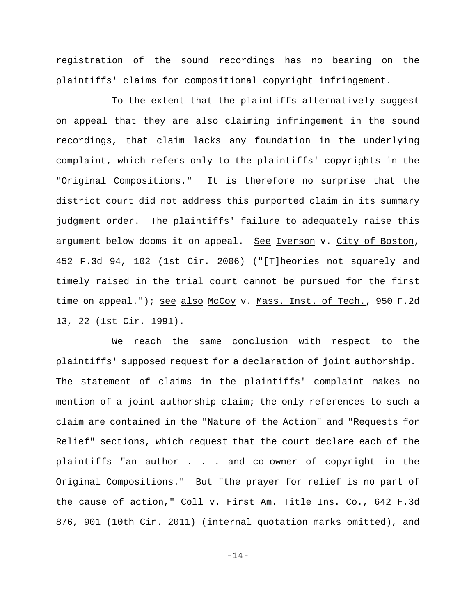registration of the sound recordings has no bearing on the plaintiffs' claims for compositional copyright infringement.

To the extent that the plaintiffs alternatively suggest on appeal that they are also claiming infringement in the sound recordings, that claim lacks any foundation in the underlying complaint, which refers only to the plaintiffs' copyrights in the "Original Compositions." It is therefore no surprise that the district court did not address this purported claim in its summary judgment order. The plaintiffs' failure to adequately raise this argument below dooms it on appeal. See Iverson v. City of Boston, 452 F.3d 94, 102 (1st Cir. 2006) ("[T]heories not squarely and timely raised in the trial court cannot be pursued for the first time on appeal."); see also McCoy v. Mass. Inst. of Tech., 950 F.2d 13, 22 (1st Cir. 1991).

We reach the same conclusion with respect to the plaintiffs' supposed request for a declaration of joint authorship. The statement of claims in the plaintiffs' complaint makes no mention of a joint authorship claim; the only references to such a claim are contained in the "Nature of the Action" and "Requests for Relief" sections, which request that the court declare each of the plaintiffs "an author . . . and co-owner of copyright in the Original Compositions." But "the prayer for relief is no part of the cause of action," Coll v. First Am. Title Ins. Co., 642 F.3d 876, 901 (10th Cir. 2011) (internal quotation marks omitted), and

-14-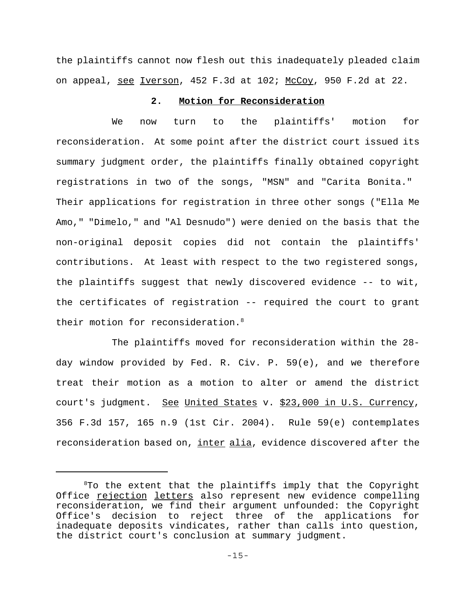the plaintiffs cannot now flesh out this inadequately pleaded claim on appeal, see Iverson, 452 F.3d at 102; McCoy, 950 F.2d at 22.

## **2. Motion for Reconsideration**

We now turn to the plaintiffs' motion for reconsideration. At some point after the district court issued its summary judgment order, the plaintiffs finally obtained copyright registrations in two of the songs, "MSN" and "Carita Bonita." Their applications for registration in three other songs ("Ella Me Amo," "Dimelo," and "Al Desnudo") were denied on the basis that the non-original deposit copies did not contain the plaintiffs' contributions. At least with respect to the two registered songs, the plaintiffs suggest that newly discovered evidence -- to wit, the certificates of registration -- required the court to grant their motion for reconsideration.<sup>8</sup>

The plaintiffs moved for reconsideration within the 28 day window provided by Fed. R. Civ. P. 59(e), and we therefore treat their motion as a motion to alter or amend the district court's judgment. See United States v. \$23,000 in U.S. Currency, 356 F.3d 157, 165 n.9 (1st Cir. 2004). Rule 59(e) contemplates reconsideration based on, inter alia, evidence discovered after the

<sup>8</sup> To the extent that the plaintiffs imply that the Copyright Office rejection letters also represent new evidence compelling reconsideration, we find their argument unfounded: the Copyright Office's decision to reject three of the applications for inadequate deposits vindicates, rather than calls into question, the district court's conclusion at summary judgment.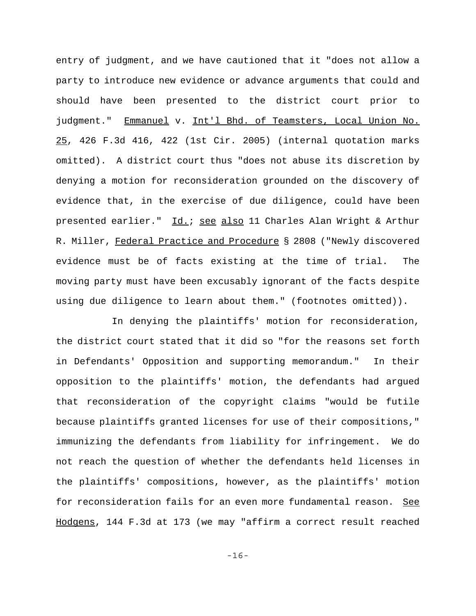entry of judgment, and we have cautioned that it "does not allow a party to introduce new evidence or advance arguments that could and should have been presented to the district court prior to judgment." Emmanuel v. Int'l Bhd. of Teamsters, Local Union No. 25, 426 F.3d 416, 422 (1st Cir. 2005) (internal quotation marks omitted). A district court thus "does not abuse its discretion by denying a motion for reconsideration grounded on the discovery of evidence that, in the exercise of due diligence, could have been presented earlier." Id.; see also 11 Charles Alan Wright & Arthur R. Miller, Federal Practice and Procedure § 2808 ("Newly discovered evidence must be of facts existing at the time of trial. The moving party must have been excusably ignorant of the facts despite using due diligence to learn about them." (footnotes omitted)).

In denying the plaintiffs' motion for reconsideration, the district court stated that it did so "for the reasons set forth in Defendants' Opposition and supporting memorandum." In their opposition to the plaintiffs' motion, the defendants had argued that reconsideration of the copyright claims "would be futile because plaintiffs granted licenses for use of their compositions," immunizing the defendants from liability for infringement. We do not reach the question of whether the defendants held licenses in the plaintiffs' compositions, however, as the plaintiffs' motion for reconsideration fails for an even more fundamental reason. See Hodgens, 144 F.3d at 173 (we may "affirm a correct result reached

-16-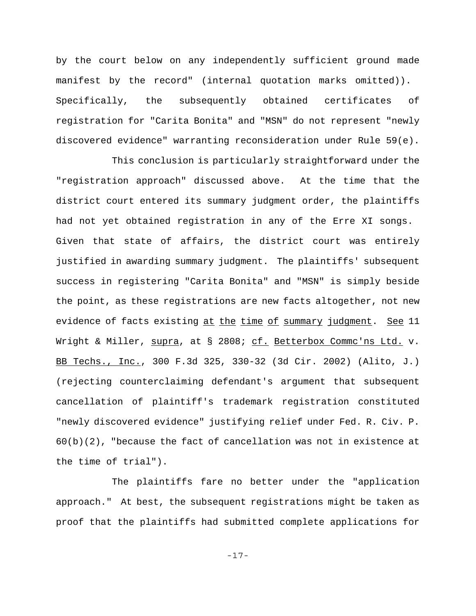by the court below on any independently sufficient ground made manifest by the record" (internal quotation marks omitted)). Specifically, the subsequently obtained certificates of registration for "Carita Bonita" and "MSN" do not represent "newly discovered evidence" warranting reconsideration under Rule 59(e).

This conclusion is particularly straightforward under the "registration approach" discussed above. At the time that the district court entered its summary judgment order, the plaintiffs had not yet obtained registration in any of the Erre XI songs. Given that state of affairs, the district court was entirely justified in awarding summary judgment. The plaintiffs' subsequent success in registering "Carita Bonita" and "MSN" is simply beside the point, as these registrations are new facts altogether, not new evidence of facts existing at the time of summary judgment. See 11 Wright & Miller, supra, at § 2808; cf. Betterbox Commc'ns Ltd. v. BB Techs., Inc., 300 F.3d 325, 330-32 (3d Cir. 2002) (Alito, J.) (rejecting counterclaiming defendant's argument that subsequent cancellation of plaintiff's trademark registration constituted "newly discovered evidence" justifying relief under Fed. R. Civ. P.  $60(b)(2)$ , "because the fact of cancellation was not in existence at the time of trial").

The plaintiffs fare no better under the "application approach." At best, the subsequent registrations might be taken as proof that the plaintiffs had submitted complete applications for

-17-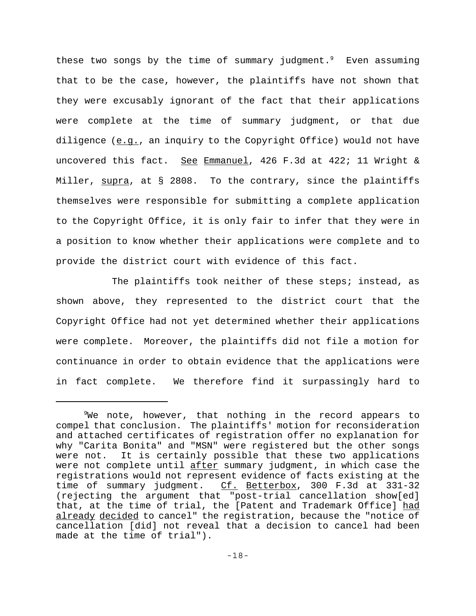these two songs by the time of summary judgment. $9$  Even assuming that to be the case, however, the plaintiffs have not shown that they were excusably ignorant of the fact that their applications were complete at the time of summary judgment, or that due diligence (e.g., an inquiry to the Copyright Office) would not have uncovered this fact. See Emmanuel, 426 F.3d at 422; 11 Wright & Miller,  $\frac{\text{supra}}{\text{s}}$ , at § 2808. To the contrary, since the plaintiffs themselves were responsible for submitting a complete application to the Copyright Office, it is only fair to infer that they were in a position to know whether their applications were complete and to provide the district court with evidence of this fact.

The plaintiffs took neither of these steps; instead, as shown above, they represented to the district court that the Copyright Office had not yet determined whether their applications were complete. Moreover, the plaintiffs did not file a motion for continuance in order to obtain evidence that the applications were in fact complete. We therefore find it surpassingly hard to

 $9$ We note, however, that nothing in the record appears to compel that conclusion. The plaintiffs' motion for reconsideration and attached certificates of registration offer no explanation for why "Carita Bonita" and "MSN" were registered but the other songs were not. It is certainly possible that these two applications were not complete until after summary judgment, in which case the registrations would not represent evidence of facts existing at the time of summary judgment. Cf. Betterbox, 300 F.3d at 331-32 (rejecting the argument that "post-trial cancellation show[ed] that, at the time of trial, the [Patent and Trademark Office] had already decided to cancel" the registration, because the "notice of cancellation [did] not reveal that a decision to cancel had been made at the time of trial").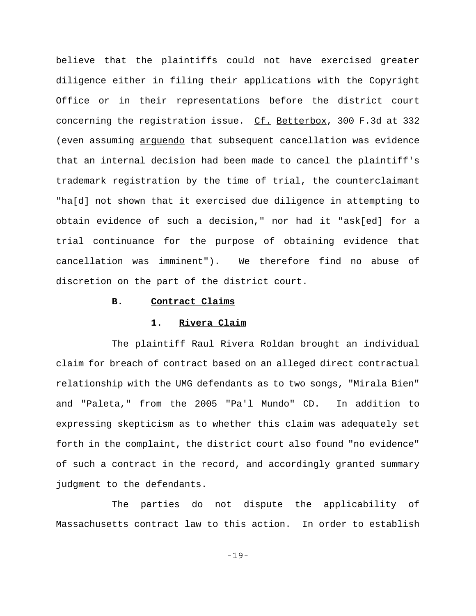believe that the plaintiffs could not have exercised greater diligence either in filing their applications with the Copyright Office or in their representations before the district court concerning the registration issue. Cf. Betterbox, 300 F.3d at 332 (even assuming arguendo that subsequent cancellation was evidence that an internal decision had been made to cancel the plaintiff's trademark registration by the time of trial, the counterclaimant "ha[d] not shown that it exercised due diligence in attempting to obtain evidence of such a decision," nor had it "ask[ed] for a trial continuance for the purpose of obtaining evidence that cancellation was imminent"). We therefore find no abuse of discretion on the part of the district court.

#### **B. Contract Claims**

### **1. Rivera Claim**

The plaintiff Raul Rivera Roldan brought an individual claim for breach of contract based on an alleged direct contractual relationship with the UMG defendants as to two songs, "Mirala Bien" and "Paleta," from the 2005 "Pa'l Mundo" CD. In addition to expressing skepticism as to whether this claim was adequately set forth in the complaint, the district court also found "no evidence" of such a contract in the record, and accordingly granted summary judgment to the defendants.

The parties do not dispute the applicability of Massachusetts contract law to this action. In order to establish

-19-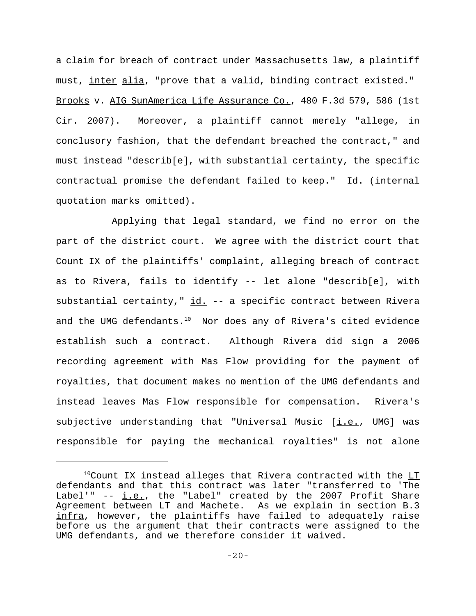a claim for breach of contract under Massachusetts law, a plaintiff must, inter alia, "prove that a valid, binding contract existed." Brooks v. AIG SunAmerica Life Assurance Co., 480 F.3d 579, 586 (1st Cir. 2007). Moreover, a plaintiff cannot merely "allege, in conclusory fashion, that the defendant breached the contract," and must instead "describ[e], with substantial certainty, the specific contractual promise the defendant failed to keep." Id. (internal quotation marks omitted).

Applying that legal standard, we find no error on the part of the district court. We agree with the district court that Count IX of the plaintiffs' complaint, alleging breach of contract as to Rivera, fails to identify -- let alone "describ[e], with substantial certainty,"  $\underline{\text{id.}}$  -- a specific contract between Rivera and the UMG defendants.<sup>10</sup> Nor does any of Rivera's cited evidence establish such a contract. Although Rivera did sign a 2006 recording agreement with Mas Flow providing for the payment of royalties, that document makes no mention of the UMG defendants and instead leaves Mas Flow responsible for compensation. Rivera's subjective understanding that "Universal Music  $[i.e.,$  UMG] was responsible for paying the mechanical royalties" is not alone

 $10$ Count IX instead alleges that Rivera contracted with the  $LT$ defendants and that this contract was later "transferred to 'The Label'"  $- i.e.,$  the "Label" created by the 2007 Profit Share Agreement between LT and Machete. As we explain in section B.3 infra, however, the plaintiffs have failed to adequately raise before us the argument that their contracts were assigned to the UMG defendants, and we therefore consider it waived.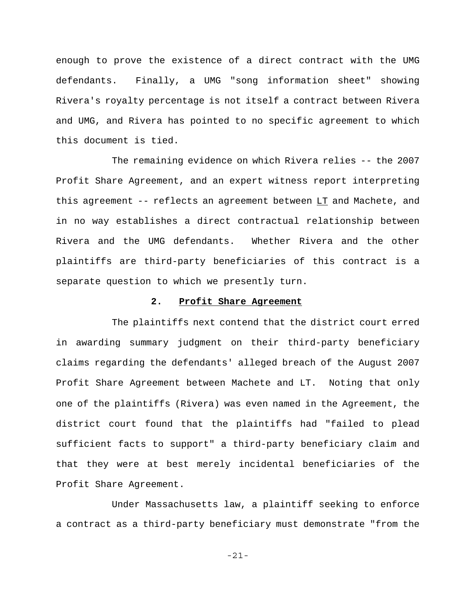enough to prove the existence of a direct contract with the UMG defendants. Finally, a UMG "song information sheet" showing Rivera's royalty percentage is not itself a contract between Rivera and UMG, and Rivera has pointed to no specific agreement to which this document is tied.

The remaining evidence on which Rivera relies -- the 2007 Profit Share Agreement, and an expert witness report interpreting this agreement  $--$  reflects an agreement between  $LT$  and Machete, and in no way establishes a direct contractual relationship between Rivera and the UMG defendants. Whether Rivera and the other plaintiffs are third-party beneficiaries of this contract is a separate question to which we presently turn.

## **2. Profit Share Agreement**

The plaintiffs next contend that the district court erred in awarding summary judgment on their third-party beneficiary claims regarding the defendants' alleged breach of the August 2007 Profit Share Agreement between Machete and LT.Noting that only one of the plaintiffs (Rivera) was even named in the Agreement, the district court found that the plaintiffs had "failed to plead sufficient facts to support" a third-party beneficiary claim and that they were at best merely incidental beneficiaries of the Profit Share Agreement.

Under Massachusetts law, a plaintiff seeking to enforce a contract as a third-party beneficiary must demonstrate "from the

-21-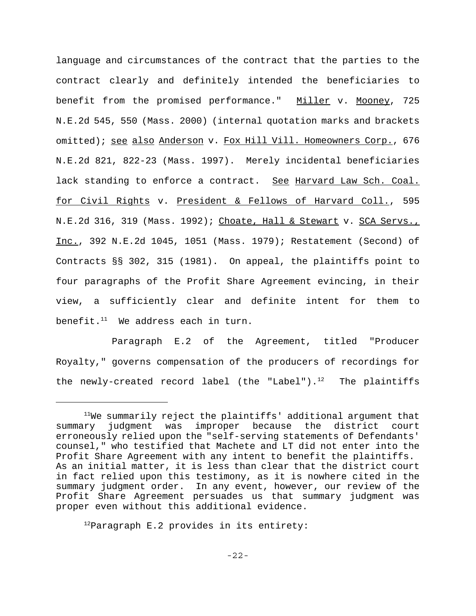language and circumstances of the contract that the parties to the contract clearly and definitely intended the beneficiaries to benefit from the promised performance." Miller v. Mooney, 725 N.E.2d 545, 550 (Mass. 2000) (internal quotation marks and brackets omitted); see also Anderson v. Fox Hill Vill. Homeowners Corp., 676 N.E.2d 821, 822-23 (Mass. 1997). Merely incidental beneficiaries lack standing to enforce a contract. See Harvard Law Sch. Coal. for Civil Rights v. President & Fellows of Harvard Coll., 595 N.E.2d 316, 319 (Mass. 1992); Choate, Hall & Stewart v. SCA Servs., Inc., 392 N.E.2d 1045, 1051 (Mass. 1979); Restatement (Second) of Contracts §§ 302, 315 (1981). On appeal, the plaintiffs point to four paragraphs of the Profit Share Agreement evincing, in their view, a sufficiently clear and definite intent for them to benefit. $11$  We address each in turn.

Paragraph E.2 of the Agreement, titled "Producer Royalty," governs compensation of the producers of recordings for the newly-created record label (the "Label").<sup>12</sup> The plaintiffs

 $12$ Paragraph E.2 provides in its entirety:

 $11$ We summarily reject the plaintiffs' additional argument that summary judgment was improper because the district court erroneously relied upon the "self-serving statements of Defendants' counsel," who testified that Machete and LT did not enter into the Profit Share Agreement with any intent to benefit the plaintiffs. As an initial matter, it is less than clear that the district court in fact relied upon this testimony, as it is nowhere cited in the summary judgment order. In any event, however, our review of the Profit Share Agreement persuades us that summary judgment was proper even without this additional evidence.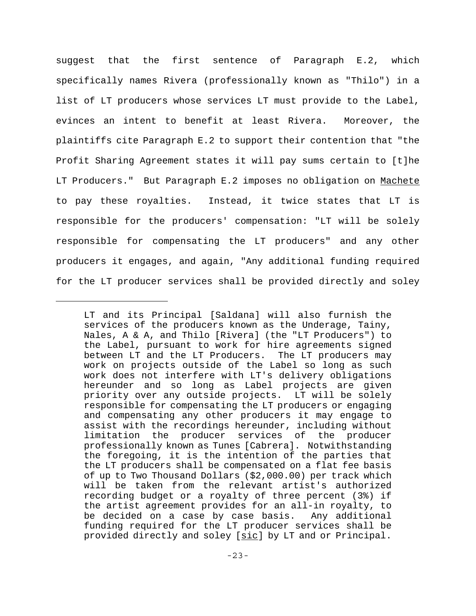suggest that the first sentence of Paragraph E.2, which specifically names Rivera (professionally known as "Thilo") in a list of LT producers whose services LT must provide to the Label, evinces an intent to benefit at least Rivera. Moreover, the plaintiffs cite Paragraph E.2 to support their contention that "the Profit Sharing Agreement states it will pay sums certain to [t]he LT Producers." But Paragraph E.2 imposes no obligation on Machete to pay these royalties. Instead, it twice states that LT is responsible for the producers' compensation: "LT will be solely responsible for compensating the LT producers" and any other producers it engages, and again, "Any additional funding required for the LT producer services shall be provided directly and soley

LT and its Principal [Saldana] will also furnish the services of the producers known as the Underage, Tainy, Nales, A & A, and Thilo [Rivera] (the "LT Producers") to the Label, pursuant to work for hire agreements signed between LT and the LT Producers. The LT producers may work on projects outside of the Label so long as such work does not interfere with LT's delivery obligations hereunder and so long as Label projects are given priority over any outside projects. LT will be solely responsible for compensating the LT producers or engaging and compensating any other producers it may engage to assist with the recordings hereunder, including without limitation the producer services of the producer professionally known as Tunes [Cabrera]. Notwithstanding the foregoing, it is the intention of the parties that the LT producers shall be compensated on a flat fee basis of up to Two Thousand Dollars (\$2,000.00) per track which will be taken from the relevant artist's authorized recording budget or a royalty of three percent (3%) if the artist agreement provides for an all-in royalty, to be decided on a case by case basis. Any additional funding required for the LT producer services shall be provided directly and soley [sic] by LT and or Principal.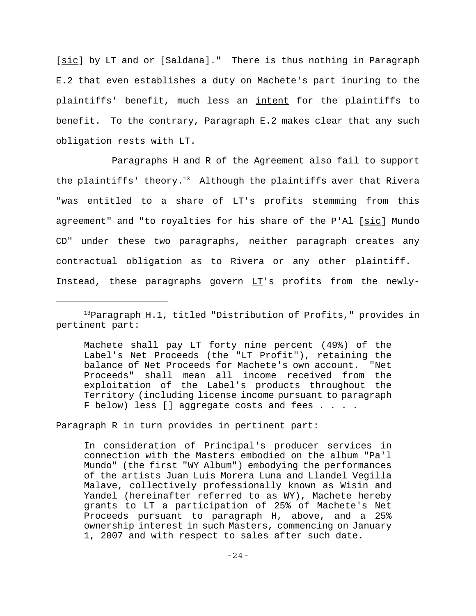[sic] by LT and or [Saldana]." There is thus nothing in Paragraph E.2 that even establishes a duty on Machete's part inuring to the plaintiffs' benefit, much less an intent for the plaintiffs to benefit. To the contrary, Paragraph E.2 makes clear that any such obligation rests with LT.

Paragraphs H and R of the Agreement also fail to support the plaintiffs' theory.<sup>13</sup> Although the plaintiffs aver that Rivera "was entitled to a share of LT's profits stemming from this agreement" and "to royalties for his share of the P'Al [sic] Mundo CD" under these two paragraphs, neither paragraph creates any contractual obligation as to Rivera or any other plaintiff. Instead, these paragraphs govern LT's profits from the newly-

Machete shall pay LT forty nine percent (49%) of the Label's Net Proceeds (the "LT Profit"), retaining the balance of Net Proceeds for Machete's own account. "Net Proceeds" shall mean all income received from the exploitation of the Label's products throughout the Territory (including license income pursuant to paragraph F below) less [] aggregate costs and fees . . . .

Paragraph R in turn provides in pertinent part:

In consideration of Principal's producer services in connection with the Masters embodied on the album "Pa'l Mundo" (the first "WY Album") embodying the performances of the artists Juan Luis Morera Luna and Llandel Vegilla Malave, collectively professionally known as Wisin and Yandel (hereinafter referred to as WY), Machete hereby grants to LT a participation of 25% of Machete's Net Proceeds pursuant to paragraph H, above, and a 25% ownership interest in such Masters, commencing on January 1, 2007 and with respect to sales after such date.

<sup>13</sup>Paragraph H.1, titled "Distribution of Profits," provides in pertinent part: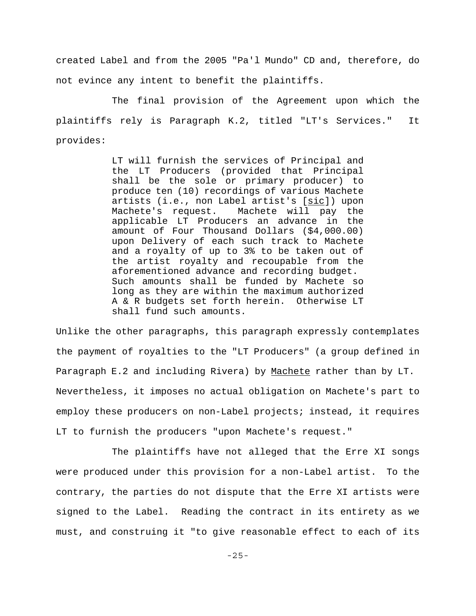created Label and from the 2005 "Pa'l Mundo" CD and, therefore, do not evince any intent to benefit the plaintiffs.

The final provision of the Agreement upon which the plaintiffs rely is Paragraph K.2, titled "LT's Services." It provides:

> LT will furnish the services of Principal and the LT Producers (provided that Principal shall be the sole or primary producer) to produce ten (10) recordings of various Machete artists (i.e., non Label artist's [sic]) upon Machete's request. Machete will pay the applicable LT Producers an advance in the amount of Four Thousand Dollars (\$4,000.00) upon Delivery of each such track to Machete and a royalty of up to 3% to be taken out of the artist royalty and recoupable from the aforementioned advance and recording budget. Such amounts shall be funded by Machete so long as they are within the maximum authorized A & R budgets set forth herein. Otherwise LT shall fund such amounts.

Unlike the other paragraphs, this paragraph expressly contemplates the payment of royalties to the "LT Producers" (a group defined in Paragraph E.2 and including Rivera) by Machete rather than by LT. Nevertheless, it imposes no actual obligation on Machete's part to employ these producers on non-Label projects; instead, it requires LT to furnish the producers "upon Machete's request."

The plaintiffs have not alleged that the Erre XI songs were produced under this provision for a non-Label artist. To the contrary, the parties do not dispute that the Erre XI artists were signed to the Label. Reading the contract in its entirety as we must, and construing it "to give reasonable effect to each of its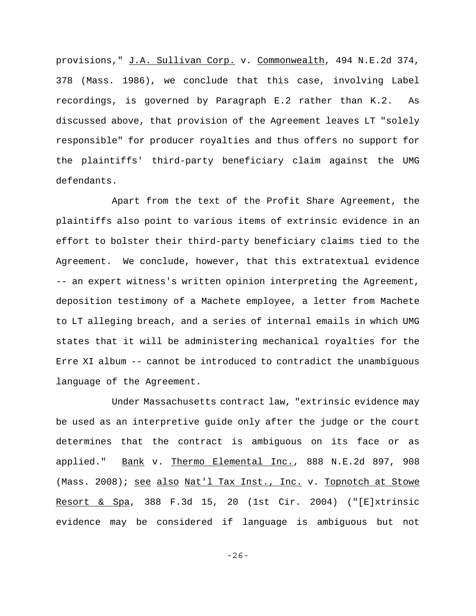provisions," J.A. Sullivan Corp. v. Commonwealth, 494 N.E.2d 374, 378 (Mass. 1986), we conclude that this case, involving Label recordings, is governed by Paragraph E.2 rather than K.2. As discussed above, that provision of the Agreement leaves LT "solely responsible" for producer royalties and thus offers no support for the plaintiffs' third-party beneficiary claim against the UMG defendants.

Apart from the text of the Profit Share Agreement, the plaintiffs also point to various items of extrinsic evidence in an effort to bolster their third-party beneficiary claims tied to the Agreement. We conclude, however, that this extratextual evidence -- an expert witness's written opinion interpreting the Agreement, deposition testimony of a Machete employee, a letter from Machete to LT alleging breach, and a series of internal emails in which UMG states that it will be administering mechanical royalties for the Erre XI album -- cannot be introduced to contradict the unambiguous language of the Agreement.

Under Massachusetts contract law, "extrinsic evidence may be used as an interpretive guide only after the judge or the court determines that the contract is ambiguous on its face or as applied." Bank v. Thermo Elemental Inc., 888 N.E.2d 897, 908 (Mass. 2008); see also Nat'l Tax Inst., Inc. v. Topnotch at Stowe Resort & Spa, 388 F.3d 15, 20 (1st Cir. 2004) ("[E]xtrinsic evidence may be considered if language is ambiguous but not

-26-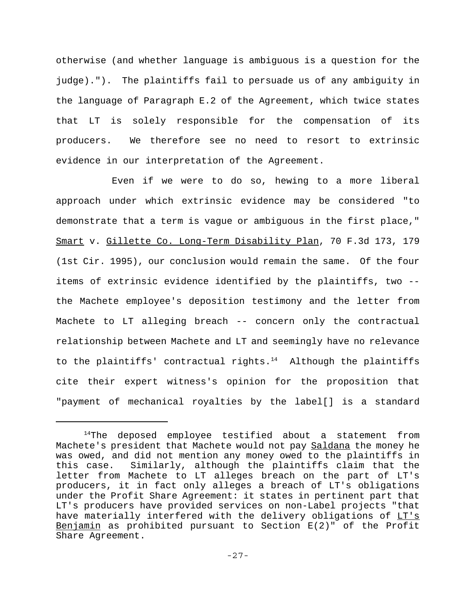otherwise (and whether language is ambiguous is a question for the judge)."). The plaintiffs fail to persuade us of any ambiguity in the language of Paragraph E.2 of the Agreement, which twice states that LT is solely responsible for the compensation of its producers. We therefore see no need to resort to extrinsic evidence in our interpretation of the Agreement.

Even if we were to do so, hewing to a more liberal approach under which extrinsic evidence may be considered "to demonstrate that a term is vague or ambiguous in the first place," Smart v. Gillette Co. Long-Term Disability Plan, 70 F.3d 173, 179 (1st Cir. 1995), our conclusion would remain the same. Of the four items of extrinsic evidence identified by the plaintiffs, two - the Machete employee's deposition testimony and the letter from Machete to LT alleging breach -- concern only the contractual relationship between Machete and LT and seemingly have no relevance to the plaintiffs' contractual rights.<sup>14</sup> Although the plaintiffs cite their expert witness's opinion for the proposition that "payment of mechanical royalties by the label[] is a standard

 $14$ The deposed employee testified about a statement from Machete's president that Machete would not pay Saldana the money he was owed, and did not mention any money owed to the plaintiffs in this case. Similarly, although the plaintiffs claim that the letter from Machete to LT alleges breach on the part of LT's producers, it in fact only alleges a breach of LT's obligations under the Profit Share Agreement: it states in pertinent part that LT's producers have provided services on non-Label projects "that have materially interfered with the delivery obligations of LT's Benjamin as prohibited pursuant to Section E(2)" of the Profit Share Agreement.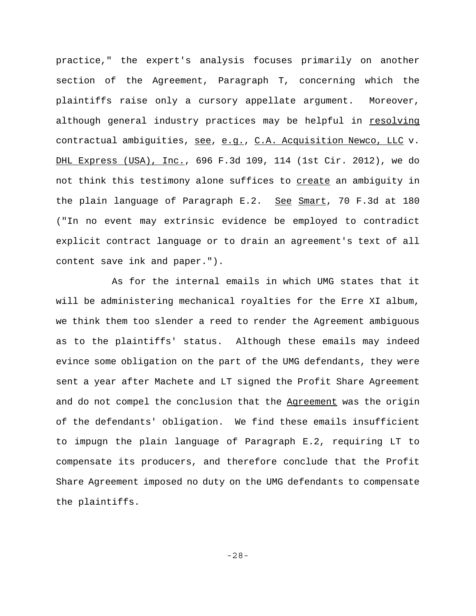practice," the expert's analysis focuses primarily on another section of the Agreement, Paragraph T, concerning which the plaintiffs raise only a cursory appellate argument. Moreover, although general industry practices may be helpful in resolving contractual ambiguities, see, e.g., C.A. Acquisition Newco, LLC v. DHL Express (USA), Inc., 696 F.3d 109, 114 (1st Cir. 2012), we do not think this testimony alone suffices to create an ambiguity in the plain language of Paragraph E.2. See Smart, 70 F.3d at 180 ("In no event may extrinsic evidence be employed to contradict explicit contract language or to drain an agreement's text of all content save ink and paper.").

As for the internal emails in which UMG states that it will be administering mechanical royalties for the Erre XI album, we think them too slender a reed to render the Agreement ambiguous as to the plaintiffs' status. Although these emails may indeed evince some obligation on the part of the UMG defendants, they were sent a year after Machete and LT signed the Profit Share Agreement and do not compel the conclusion that the Agreement was the origin of the defendants' obligation. We find these emails insufficient to impugn the plain language of Paragraph E.2, requiring LT to compensate its producers, and therefore conclude that the Profit Share Agreement imposed no duty on the UMG defendants to compensate the plaintiffs.

-28-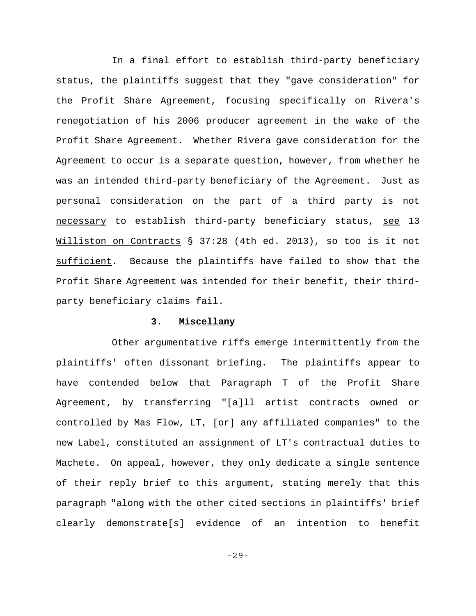In a final effort to establish third-party beneficiary status, the plaintiffs suggest that they "gave consideration" for the Profit Share Agreement, focusing specifically on Rivera's renegotiation of his 2006 producer agreement in the wake of the Profit Share Agreement. Whether Rivera gave consideration for the Agreement to occur is a separate question, however, from whether he was an intended third-party beneficiary of the Agreement. Just as personal consideration on the part of a third party is not necessary to establish third-party beneficiary status, see 13 Williston on Contracts § 37:28 (4th ed. 2013), so too is it not sufficient. Because the plaintiffs have failed to show that the Profit Share Agreement was intended for their benefit, their thirdparty beneficiary claims fail.

#### **3. Miscellany**

Other argumentative riffs emerge intermittently from the plaintiffs' often dissonant briefing. The plaintiffs appear to have contended below that Paragraph T of the Profit Share Agreement, by transferring "[a]ll artist contracts owned or controlled by Mas Flow, LT, [or] any affiliated companies" to the new Label, constituted an assignment of LT's contractual duties to Machete. On appeal, however, they only dedicate a single sentence of their reply brief to this argument, stating merely that this paragraph "along with the other cited sections in plaintiffs' brief clearly demonstrate[s] evidence of an intention to benefit

-29-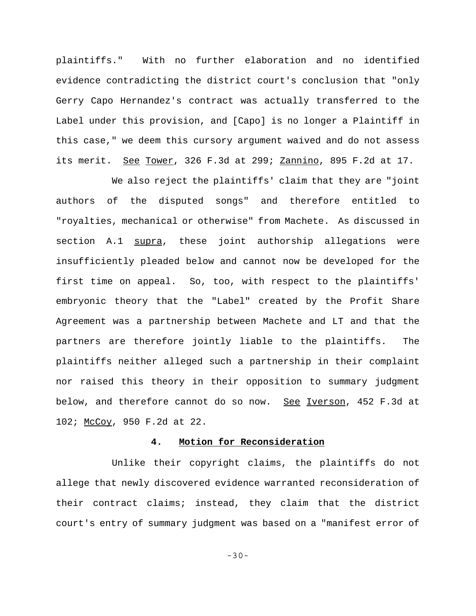plaintiffs." With no further elaboration and no identified evidence contradicting the district court's conclusion that "only Gerry Capo Hernandez's contract was actually transferred to the Label under this provision, and [Capo] is no longer a Plaintiff in this case," we deem this cursory argument waived and do not assess its merit. See Tower, 326 F.3d at 299; Zannino, 895 F.2d at 17.

We also reject the plaintiffs' claim that they are "joint authors of the disputed songs" and therefore entitled to "royalties, mechanical or otherwise" from Machete. As discussed in section A.1 supra, these joint authorship allegations were insufficiently pleaded below and cannot now be developed for the first time on appeal. So, too, with respect to the plaintiffs' embryonic theory that the "Label" created by the Profit Share Agreement was a partnership between Machete and LT and that the partners are therefore jointly liable to the plaintiffs. The plaintiffs neither alleged such a partnership in their complaint nor raised this theory in their opposition to summary judgment below, and therefore cannot do so now. See Iverson, 452 F.3d at 102; McCoy, 950 F.2d at 22.

# **4. Motion for Reconsideration**

Unlike their copyright claims, the plaintiffs do not allege that newly discovered evidence warranted reconsideration of their contract claims; instead, they claim that the district court's entry of summary judgment was based on a "manifest error of

-30-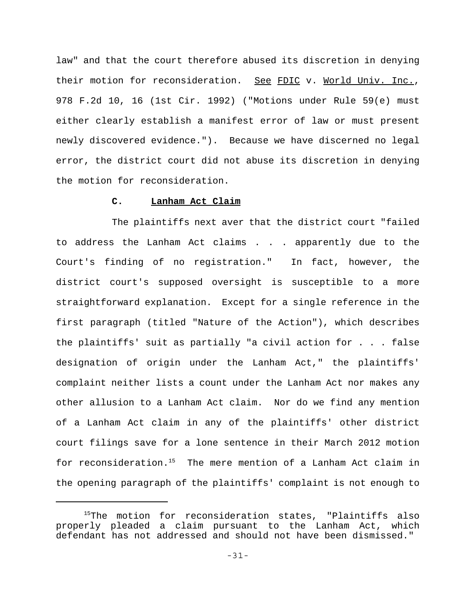law" and that the court therefore abused its discretion in denying their motion for reconsideration. See FDIC v. World Univ. Inc., 978 F.2d 10, 16 (1st Cir. 1992) ("Motions under Rule 59(e) must either clearly establish a manifest error of law or must present newly discovered evidence."). Because we have discerned no legal error, the district court did not abuse its discretion in denying the motion for reconsideration.

### **C. Lanham Act Claim**

The plaintiffs next aver that the district court "failed to address the Lanham Act claims . . . apparently due to the Court's finding of no registration." In fact, however, the district court's supposed oversight is susceptible to a more straightforward explanation. Except for a single reference in the first paragraph (titled "Nature of the Action"), which describes the plaintiffs' suit as partially "a civil action for . . . false designation of origin under the Lanham Act," the plaintiffs' complaint neither lists a count under the Lanham Act nor makes any other allusion to a Lanham Act claim. Nor do we find any mention of a Lanham Act claim in any of the plaintiffs' other district court filings save for a lone sentence in their March 2012 motion for reconsideration.<sup>15</sup> The mere mention of a Lanham Act claim in the opening paragraph of the plaintiffs' complaint is not enough to

<sup>&</sup>lt;sup>15</sup>The motion for reconsideration states, "Plaintiffs also properly pleaded a claim pursuant to the Lanham Act, which defendant has not addressed and should not have been dismissed."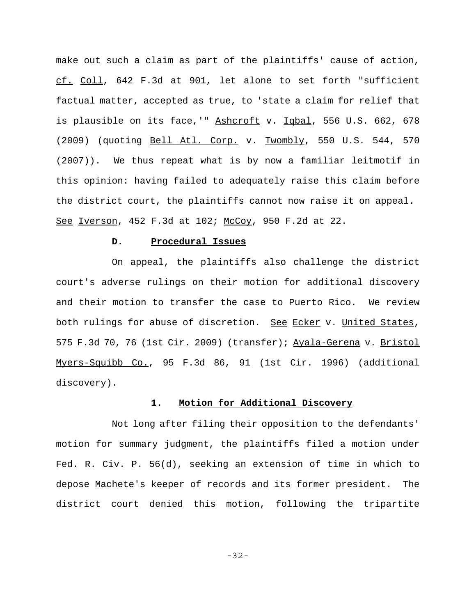make out such a claim as part of the plaintiffs' cause of action, cf. Coll, 642 F.3d at 901, let alone to set forth "sufficient factual matter, accepted as true, to 'state a claim for relief that is plausible on its face,'" Ashcroft v. Iqbal, 556 U.S. 662, 678 (2009) (quoting Bell Atl. Corp. v. Twombly, 550 U.S. 544, 570 (2007)). We thus repeat what is by now a familiar leitmotif in this opinion: having failed to adequately raise this claim before the district court, the plaintiffs cannot now raise it on appeal. See Iverson, 452 F.3d at 102; McCoy, 950 F.2d at 22.

#### **D. Procedural Issues**

On appeal, the plaintiffs also challenge the district court's adverse rulings on their motion for additional discovery and their motion to transfer the case to Puerto Rico. We review both rulings for abuse of discretion. See Ecker v. United States, 575 F.3d 70, 76 (1st Cir. 2009) (transfer); Ayala-Gerena v. Bristol Myers-Squibb Co., 95 F.3d 86, 91 (1st Cir. 1996) (additional discovery).

# **1. Motion for Additional Discovery**

Not long after filing their opposition to the defendants' motion for summary judgment, the plaintiffs filed a motion under Fed. R. Civ. P. 56(d), seeking an extension of time in which to depose Machete's keeper of records and its former president. The district court denied this motion, following the tripartite

-32-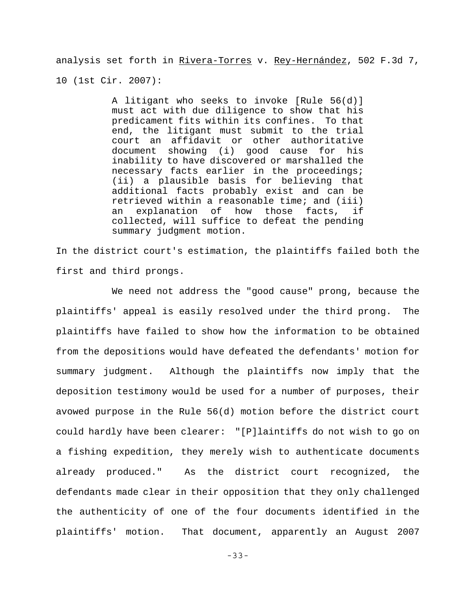analysis set forth in Rivera-Torres v. Rey-Hernández, 502 F.3d 7, 10 (1st Cir. 2007):

> A litigant who seeks to invoke [Rule 56(d)] must act with due diligence to show that his predicament fits within its confines. To that end, the litigant must submit to the trial court an affidavit or other authoritative document showing (i) good cause for his inability to have discovered or marshalled the necessary facts earlier in the proceedings; (ii) a plausible basis for believing that additional facts probably exist and can be retrieved within a reasonable time; and (iii) an explanation of how those facts, if collected, will suffice to defeat the pending summary judgment motion.

In the district court's estimation, the plaintiffs failed both the first and third prongs.

We need not address the "good cause" prong, because the plaintiffs' appeal is easily resolved under the third prong. The plaintiffs have failed to show how the information to be obtained from the depositions would have defeated the defendants' motion for summary judgment. Although the plaintiffs now imply that the deposition testimony would be used for a number of purposes, their avowed purpose in the Rule 56(d) motion before the district court could hardly have been clearer: "[P]laintiffs do not wish to go on a fishing expedition, they merely wish to authenticate documents already produced." As the district court recognized, the defendants made clear in their opposition that they only challenged the authenticity of one of the four documents identified in the plaintiffs' motion. That document, apparently an August 2007

-33-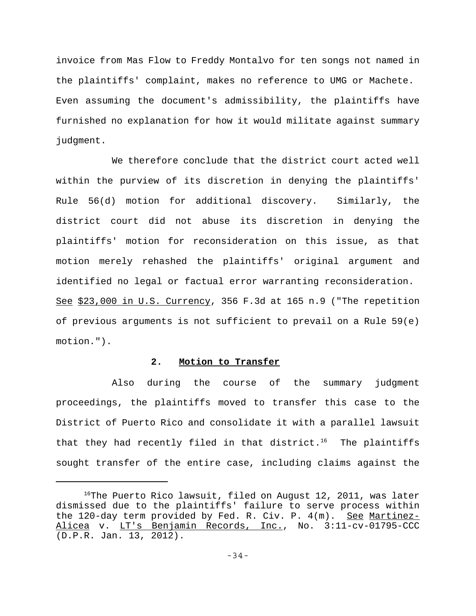invoice from Mas Flow to Freddy Montalvo for ten songs not named in the plaintiffs' complaint, makes no reference to UMG or Machete. Even assuming the document's admissibility, the plaintiffs have furnished no explanation for how it would militate against summary judgment.

We therefore conclude that the district court acted well within the purview of its discretion in denying the plaintiffs' Rule 56(d) motion for additional discovery. Similarly, the district court did not abuse its discretion in denying the plaintiffs' motion for reconsideration on this issue, as that motion merely rehashed the plaintiffs' original argument and identified no legal or factual error warranting reconsideration. See \$23,000 in U.S. Currency, 356 F.3d at 165 n.9 ("The repetition of previous arguments is not sufficient to prevail on a Rule 59(e) motion.").

### **2. Motion to Transfer**

Also during the course of the summary judgment proceedings, the plaintiffs moved to transfer this case to the District of Puerto Rico and consolidate it with a parallel lawsuit that they had recently filed in that district.<sup>16</sup> The plaintiffs sought transfer of the entire case, including claims against the

 $16$ The Puerto Rico lawsuit, filed on August 12, 2011, was later dismissed due to the plaintiffs' failure to serve process within the 120-day term provided by Fed. R. Civ. P. 4(m). See Martinez-Alicea v. LT's Benjamin Records, Inc., No. 3:11-cv-01795-CCC (D.P.R. Jan. 13, 2012).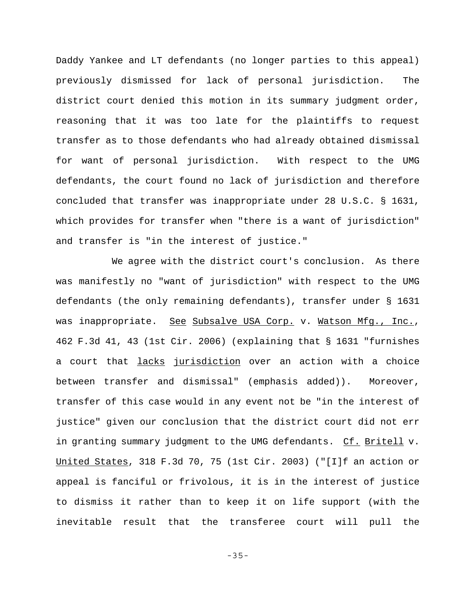Daddy Yankee and LT defendants (no longer parties to this appeal) previously dismissed for lack of personal jurisdiction. The district court denied this motion in its summary judgment order, reasoning that it was too late for the plaintiffs to request transfer as to those defendants who had already obtained dismissal for want of personal jurisdiction. With respect to the UMG defendants, the court found no lack of jurisdiction and therefore concluded that transfer was inappropriate under 28 U.S.C. § 1631, which provides for transfer when "there is a want of jurisdiction" and transfer is "in the interest of justice."

We agree with the district court's conclusion. As there was manifestly no "want of jurisdiction" with respect to the UMG defendants (the only remaining defendants), transfer under § 1631 was inappropriate. See Subsalve USA Corp. v. Watson Mfg., Inc., 462 F.3d 41, 43 (1st Cir. 2006) (explaining that § 1631 "furnishes a court that *lacks jurisdiction* over an action with a choice between transfer and dismissal" (emphasis added)). Moreover, transfer of this case would in any event not be "in the interest of justice" given our conclusion that the district court did not err in granting summary judgment to the UMG defendants. Cf. Britell v. United States, 318 F.3d 70, 75 (1st Cir. 2003) ("[I]f an action or appeal is fanciful or frivolous, it is in the interest of justice to dismiss it rather than to keep it on life support (with the inevitable result that the transferee court will pull the

-35-